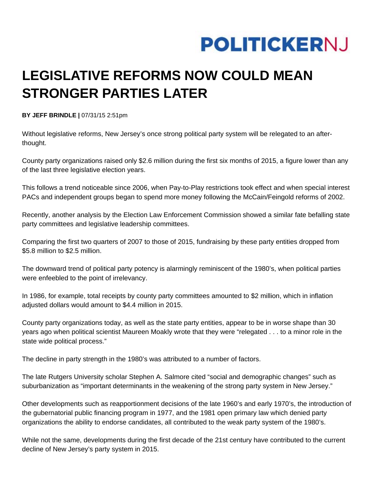

## **LEGISLATIVE REFORMS NOW COULD MEAN STRONGER PARTIES LATER**

**BY JEFF BRINDLE |** 07/31/15 2:51pm

Without legislative reforms, New Jersey's once strong political party system will be relegated to an afterthought.

County party organizations raised only \$2.6 million during the first six months of 2015, a figure lower than any of the last three legislative election years.

This follows a trend noticeable since 2006, when Pay-to-Play restrictions took effect and when special interest PACs and independent groups began to spend more money following the McCain/Feingold reforms of 2002.

Recently, another analysis by the Election Law Enforcement Commission showed a similar fate befalling state party committees and legislative leadership committees.

Comparing the first two quarters of 2007 to those of 2015, fundraising by these party entities dropped from \$5.8 million to \$2.5 million.

The downward trend of political party potency is alarmingly reminiscent of the 1980's, when political parties were enfeebled to the point of irrelevancy.

In 1986, for example, total receipts by county party committees amounted to \$2 million, which in inflation adjusted dollars would amount to \$4.4 million in 2015.

County party organizations today, as well as the state party entities, appear to be in worse shape than 30 years ago when political scientist Maureen Moakly wrote that they were "relegated . . . to a minor role in the state wide political process."

The decline in party strength in the 1980's was attributed to a number of factors.

The late Rutgers University scholar Stephen A. Salmore cited "social and demographic changes" such as suburbanization as "important determinants in the weakening of the strong party system in New Jersey."

Other developments such as reapportionment decisions of the late 1960's and early 1970's, the introduction of the gubernatorial public financing program in 1977, and the 1981 open primary law which denied party organizations the ability to endorse candidates, all contributed to the weak party system of the 1980's.

While not the same, developments during the first decade of the 21st century have contributed to the current decline of New Jersey's party system in 2015.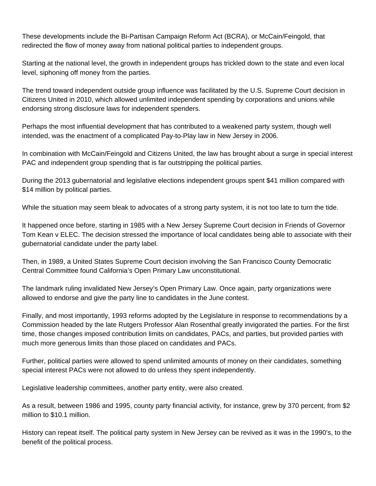These developments include the Bi-Partisan Campaign Reform Act (BCRA), or McCain/Feingold, that redirected the flow of money away from national political parties to independent groups.

Starting at the national level, the growth in independent groups has trickled down to the state and even local level, siphoning off money from the parties.

The trend toward independent outside group influence was facilitated by the U.S. Supreme Court decision in Citizens United in 2010, which allowed unlimited independent spending by corporations and unions while endorsing strong disclosure laws for independent spenders.

Perhaps the most influential development that has contributed to a weakened party system, though well intended, was the enactment of a complicated Pay-to-Play law in New Jersey in 2006.

In combination with McCain/Feingold and Citizens United, the law has brought about a surge in special interest PAC and independent group spending that is far outstripping the political parties.

During the 2013 gubernatorial and legislative elections independent groups spent \$41 million compared with \$14 million by political parties.

While the situation may seem bleak to advocates of a strong party system, it is not too late to turn the tide.

It happened once before, starting in 1985 with a New Jersey Supreme Court decision in Friends of Governor Tom Kean v ELEC. The decision stressed the importance of local candidates being able to associate with their gubernatorial candidate under the party label.

Then, in 1989, a United States Supreme Court decision involving the San Francisco County Democratic Central Committee found California's Open Primary Law unconstitutional.

The landmark ruling invalidated New Jersey's Open Primary Law. Once again, party organizations were allowed to endorse and give the party line to candidates in the June contest.

Finally, and most importantly, 1993 reforms adopted by the Legislature in response to recommendations by a Commission headed by the late Rutgers Professor Alan Rosenthal greatly invigorated the parties. For the first time, those changes imposed contribution limits on candidates, PACs, and parties, but provided parties with much more generous limits than those placed on candidates and PACs.

Further, political parties were allowed to spend unlimited amounts of money on their candidates, something special interest PACs were not allowed to do unless they spent independently.

Legislative leadership committees, another party entity, were also created.

As a result, between 1986 and 1995, county party financial activity, for instance, grew by 370 percent, from \$2 million to \$10.1 million.

History can repeat itself. The political party system in New Jersey can be revived as it was in the 1990's, to the benefit of the political process.